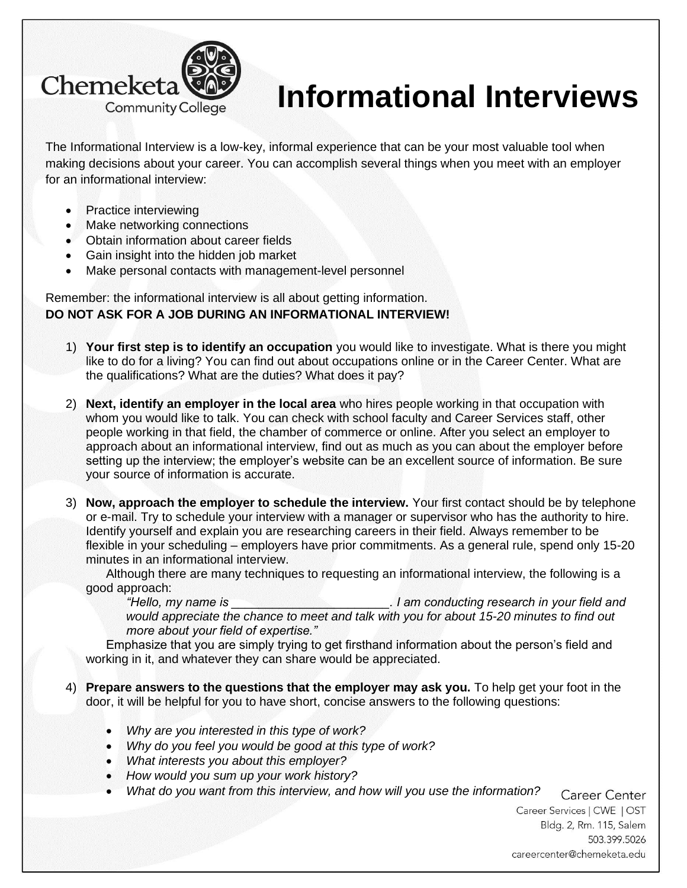

## **Informational Interviews**

The Informational Interview is a low-key, informal experience that can be your most valuable tool when making decisions about your career. You can accomplish several things when you meet with an employer for an informational interview:

- Practice interviewing
- Make networking connections
- Obtain information about career fields
- Gain insight into the hidden job market
- Make personal contacts with management-level personnel

Remember: the informational interview is all about getting information. **DO NOT ASK FOR A JOB DURING AN INFORMATIONAL INTERVIEW!**

- 1) **Your first step is to identify an occupation** you would like to investigate. What is there you might like to do for a living? You can find out about occupations online or in the Career Center. What are the qualifications? What are the duties? What does it pay?
- 2) **Next, identify an employer in the local area** who hires people working in that occupation with whom you would like to talk. You can check with school faculty and Career Services staff, other people working in that field, the chamber of commerce or online. After you select an employer to approach about an informational interview, find out as much as you can about the employer before setting up the interview; the employer's website can be an excellent source of information. Be sure your source of information is accurate.
- 3) **Now, approach the employer to schedule the interview.** Your first contact should be by telephone or e-mail. Try to schedule your interview with a manager or supervisor who has the authority to hire. Identify yourself and explain you are researching careers in their field. Always remember to be flexible in your scheduling – employers have prior commitments. As a general rule, spend only 15-20 minutes in an informational interview.

Although there are many techniques to requesting an informational interview, the following is a good approach:

*"Hello, my name is \_\_\_\_\_\_\_\_\_\_\_\_\_\_\_\_\_\_\_\_\_\_\_. I am conducting research in your field and would appreciate the chance to meet and talk with you for about 15-20 minutes to find out more about your field of expertise."*

Emphasize that you are simply trying to get firsthand information about the person's field and working in it, and whatever they can share would be appreciated.

- 4) **Prepare answers to the questions that the employer may ask you.** To help get your foot in the door, it will be helpful for you to have short, concise answers to the following questions:
	- *Why are you interested in this type of work?*
	- *Why do you feel you would be good at this type of work?*
	- *What interests you about this employer?*
	- *How would you sum up your work history?*
	- *What do you want from this interview, and how will you use the information?*

Career Center Career Services | CWE | OST Bldg. 2, Rm. 115, Salem 503.399.5026 careercenter@chemeketa.edu